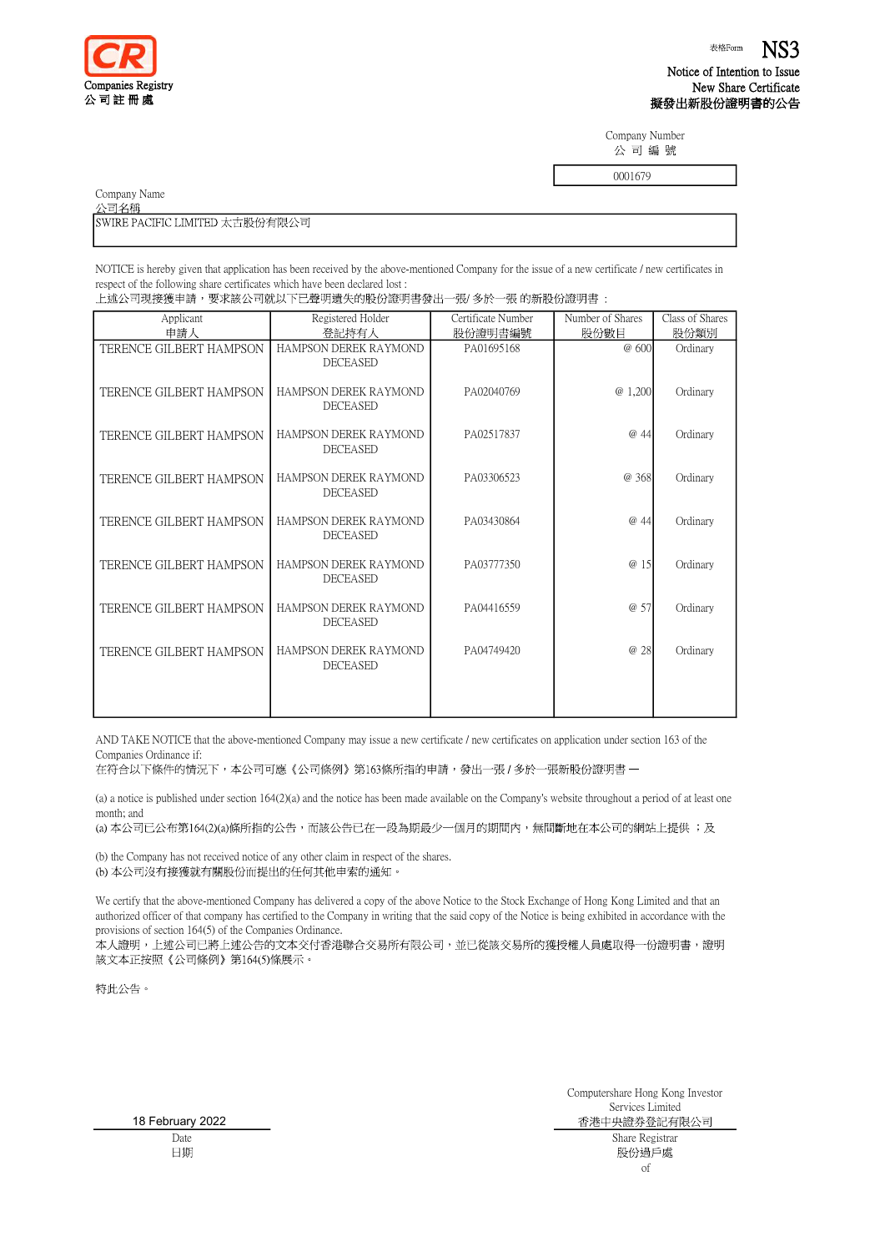

Notice of Intention to Issue New Share Certificate 擬發出新股份證明書的公告

Company Number 公司編號

|  | 上述公司現接獲申請,要求該公司就以下已聲明遺失的股份證明書發出一張/ 多於一張 的新股份證明書 |  |
|--|-------------------------------------------------|--|
|  |                                                 |  |

|                                                                                                                                                   |                                          |                    | 0001679          |                 |
|---------------------------------------------------------------------------------------------------------------------------------------------------|------------------------------------------|--------------------|------------------|-----------------|
| Company Name                                                                                                                                      |                                          |                    |                  |                 |
| 公司名稱                                                                                                                                              |                                          |                    |                  |                 |
| SWIRE PACIFIC LIMITED 太古股份有限公司                                                                                                                    |                                          |                    |                  |                 |
|                                                                                                                                                   |                                          |                    |                  |                 |
| NOTICE is hereby given that application has been received by the above-mentioned Company for the issue of a new certificate / new certificates in |                                          |                    |                  |                 |
| respect of the following share certificates which have been declared lost:                                                                        |                                          |                    |                  |                 |
| 上述公司現接獲申請,要求該公司就以下已聲明遺失的股份證明書發出一張/ 多於一張 的新股份證明書 :                                                                                                 |                                          |                    |                  |                 |
| Applicant                                                                                                                                         | Registered Holder                        | Certificate Number | Number of Shares | Class of Shares |
| 申請人                                                                                                                                               | 登記持有人                                    | 股份證明書編號            | 股份數目             | 股份類別            |
| TERENCE GILBERT HAMPSON                                                                                                                           | HAMPSON DEREK RAYMOND<br><b>DECEASED</b> | PA01695168         | @ 600            | Ordinary        |
| TERENCE GILBERT HAMPSON                                                                                                                           | HAMPSON DEREK RAYMOND<br><b>DECEASED</b> | PA02040769         | @ 1,200          | Ordinary        |
| TERENCE GILBERT HAMPSON                                                                                                                           | HAMPSON DEREK RAYMOND<br><b>DECEASED</b> | PA02517837         | @ 44             | Ordinary        |
| TERENCE GILBERT HAMPSON                                                                                                                           | HAMPSON DEREK RAYMOND<br><b>DECEASED</b> | PA03306523         | @ 368            | Ordinary        |
| TERENCE GILBERT HAMPSON                                                                                                                           | HAMPSON DEREK RAYMOND<br><b>DECEASED</b> | PA03430864         | @ 44             | Ordinary        |
| TERENCE GILBERT HAMPSON                                                                                                                           | HAMPSON DEREK RAYMOND<br><b>DECEASED</b> | PA03777350         | @ 15             | Ordinary        |
| TERENCE GILBERT HAMPSON                                                                                                                           | HAMPSON DEREK RAYMOND<br><b>DECEASED</b> | PA04416559         | @ 57             | Ordinary        |
| TERENCE GILBERT HAMPSON                                                                                                                           | HAMPSON DEREK RAYMOND<br><b>DECEASED</b> | PA04749420         | @ 28             | Ordinary        |
|                                                                                                                                                   |                                          |                    |                  |                 |

AND TAKE NOTICE that the above-mentioned Company may issue a new certificate / new certificates on application under section 163 of the Companies Ordinance if:

在符合以下條件的情況下,本公司可應《公司條例》第163條所指的申請,發出一張 / 多於一張新股份證明書 一

(a) a notice is published under section 164(2)(a) and the notice has been made available on the Company's website throughout a period of at least one month; and

(a) 本公司已公布第164(2)(a)條所指的公告,而該公告已在一段為期最少一個月的期間內,無間斷地在本公司的網站上提供 ;及

(b) the Company has not received notice of any other claim in respect of the shares. (b) 本公司沒有接獲就有關股份而提出的任何其他申索的通知。

We certify that the above-mentioned Company has delivered a copy of the above Notice to the Stock Exchange of Hong Kong Limited and that an authorized officer of that company has certified to the Company in writing that the said copy of the Notice is being exhibited in accordance with the provisions of section 164(5) of the Companies Ordinance.

本人證明,上述公司已將上述公告的文本交付香港聯合交易所有限公司,並已從該交易所的獲授權人員處取得一份證明書,證明 該文本正按照《公司條例》第164(5)條展示。

特此公告。

18 February 2022Date 日期

Computershare Hong Kong Investor Services Limited 香港中央證券登記有限公司 Share Registrar 股份過戶處 of